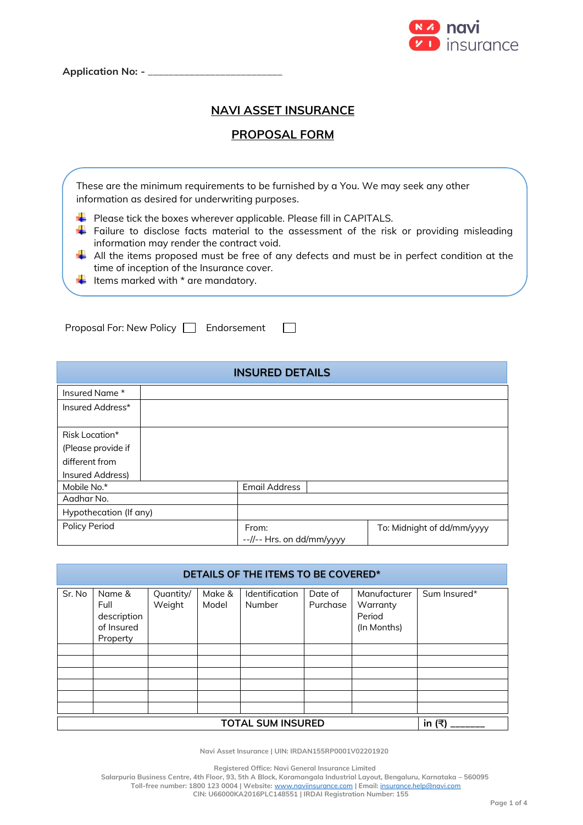

# **NAVI ASSET INSURANCE**

# **PROPOSAL FORM**

|  | These are the minimum requirements to be furnished by a You. We may seek any other<br>information as desired for underwriting purposes.                                                                                                        |  |
|--|------------------------------------------------------------------------------------------------------------------------------------------------------------------------------------------------------------------------------------------------|--|
|  | $\downarrow$ Please tick the boxes wherever applicable. Please fill in CAPITALS.<br>$\frac{1}{\sqrt{2}}$ Failure to disclose facts material to the assessment of the risk or providing misleading<br>information may render the contract void. |  |
|  | $\frac{1}{\sqrt{2}}$ All the items proposed must be free of any defects and must be in perfect condition at the<br>time of inception of the Insurance cover.                                                                                   |  |
|  | $\bigstar$ Items marked with $*$ are mandatory.                                                                                                                                                                                                |  |

 $\Box$ 

Proposal For: New Policy | Endorsement

| <b>INSURED DETAILS</b> |                                    |                            |  |  |  |  |
|------------------------|------------------------------------|----------------------------|--|--|--|--|
| Insured Name *         |                                    |                            |  |  |  |  |
| Insured Address*       |                                    |                            |  |  |  |  |
| Risk Location*         |                                    |                            |  |  |  |  |
| (Please provide if     |                                    |                            |  |  |  |  |
| different from         |                                    |                            |  |  |  |  |
| Insured Address)       |                                    |                            |  |  |  |  |
| Mobile No.*            | <b>Email Address</b>               |                            |  |  |  |  |
| Aadhar No.             |                                    |                            |  |  |  |  |
| Hypothecation (If any) |                                    |                            |  |  |  |  |
| <b>Policy Period</b>   | From:<br>--//-- Hrs. on dd/mm/yyyy | To: Midnight of dd/mm/yyyy |  |  |  |  |

| DETAILS OF THE ITEMS TO BE COVERED* |                                                         |                     |                 |                          |                     |                                                   |              |  |
|-------------------------------------|---------------------------------------------------------|---------------------|-----------------|--------------------------|---------------------|---------------------------------------------------|--------------|--|
| Sr. No                              | Name &<br>Full<br>description<br>of Insured<br>Property | Quantity/<br>Weight | Make &<br>Model | Identification<br>Number | Date of<br>Purchase | Manufacturer<br>Warranty<br>Period<br>(In Months) | Sum Insured* |  |
|                                     |                                                         |                     |                 |                          |                     |                                                   |              |  |
|                                     |                                                         |                     |                 |                          |                     |                                                   |              |  |
|                                     |                                                         |                     |                 |                          |                     |                                                   |              |  |
|                                     |                                                         |                     |                 |                          |                     |                                                   |              |  |
|                                     |                                                         |                     |                 |                          |                     |                                                   |              |  |
|                                     |                                                         |                     |                 |                          |                     |                                                   |              |  |
|                                     | in $(₹)$<br><b>TOTAL SUM INSURED</b>                    |                     |                 |                          |                     |                                                   |              |  |

**Navi Asset Insurance | UIN: IRDAN155RP0001V02201920**

**Registered Office: Navi General Insurance Limited**

**Salarpuria Business Centre, 4th Floor, 93, 5th A Block, Koramangala Industrial Layout, Bengaluru, Karnataka – 560095 Toll-free number: 1800 123 0004 | Website:** [www.naviinsurance.com](http://www.naviinsurance.com/) **| Email:** [insurance.help@navi.com](mailto:insurance.help@navi.com)

**CIN: U66000KA2016PLC148551 | IRDAI Registration Number: 155**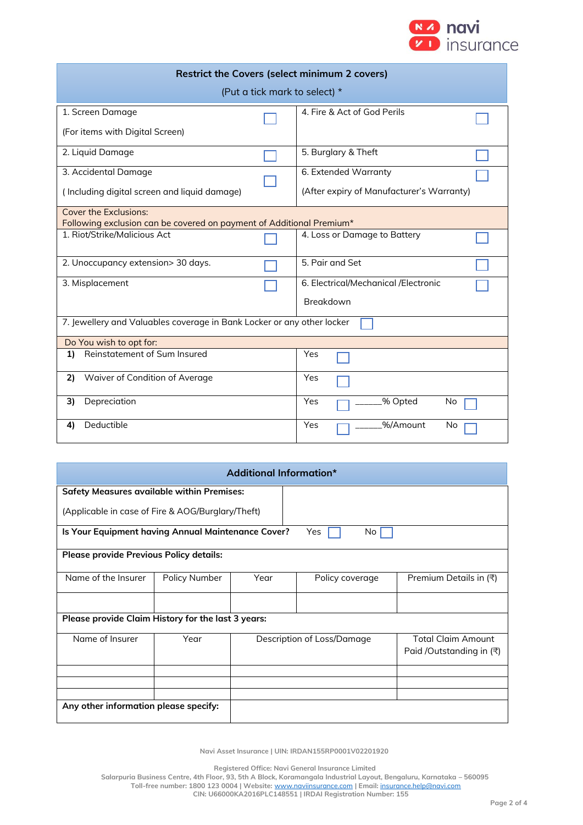

| <b>Restrict the Covers (select minimum 2 covers)</b>                   |                                           |  |  |  |  |  |  |
|------------------------------------------------------------------------|-------------------------------------------|--|--|--|--|--|--|
| (Put a tick mark to select) *                                          |                                           |  |  |  |  |  |  |
| 1. Screen Damage                                                       | 4. Fire & Act of God Perils               |  |  |  |  |  |  |
| (For items with Digital Screen)                                        |                                           |  |  |  |  |  |  |
| 2. Liquid Damage                                                       | 5. Burglary & Theft                       |  |  |  |  |  |  |
| 3. Accidental Damage                                                   | 6. Extended Warranty                      |  |  |  |  |  |  |
| (Including digital screen and liquid damage)                           | (After expiry of Manufacturer's Warranty) |  |  |  |  |  |  |
| <b>Cover the Exclusions:</b>                                           |                                           |  |  |  |  |  |  |
| Following exclusion can be covered on payment of Additional Premium*   |                                           |  |  |  |  |  |  |
| 1. Riot/Strike/Malicious Act                                           | 4. Loss or Damage to Battery              |  |  |  |  |  |  |
| 2. Unoccupancy extension> 30 days.                                     | 5. Pair and Set                           |  |  |  |  |  |  |
| 3. Misplacement                                                        | 6. Electrical/Mechanical /Electronic      |  |  |  |  |  |  |
|                                                                        | Breakdown                                 |  |  |  |  |  |  |
| 7. Jewellery and Valuables coverage in Bank Locker or any other locker |                                           |  |  |  |  |  |  |
| Do You wish to opt for:                                                |                                           |  |  |  |  |  |  |
| Reinstatement of Sum Insured<br>1)                                     | Yes                                       |  |  |  |  |  |  |
| Waiver of Condition of Average<br>2)                                   | Yes                                       |  |  |  |  |  |  |
| Depreciation<br>3)                                                     | Yes<br>% Opted<br>No                      |  |  |  |  |  |  |
| Deductible<br>4)                                                       | %/Amount<br>Yes<br>No                     |  |  |  |  |  |  |

| Additional Information*                           |                                                                  |      |                            |                                                       |  |  |  |  |  |
|---------------------------------------------------|------------------------------------------------------------------|------|----------------------------|-------------------------------------------------------|--|--|--|--|--|
| <b>Safety Measures available within Premises:</b> |                                                                  |      |                            |                                                       |  |  |  |  |  |
| (Applicable in case of Fire & AOG/Burglary/Theft) |                                                                  |      |                            |                                                       |  |  |  |  |  |
|                                                   | Is Your Equipment having Annual Maintenance Cover?<br>Yes<br>No. |      |                            |                                                       |  |  |  |  |  |
| <b>Please provide Previous Policy details:</b>    |                                                                  |      |                            |                                                       |  |  |  |  |  |
| Name of the Insurer<br>Policy Number              |                                                                  | Year | Policy coverage            | Premium Details in (₹)                                |  |  |  |  |  |
|                                                   |                                                                  |      |                            |                                                       |  |  |  |  |  |
|                                                   | Please provide Claim History for the last 3 years:               |      |                            |                                                       |  |  |  |  |  |
| Name of Insurer                                   | Year                                                             |      | Description of Loss/Damage | <b>Total Claim Amount</b><br>Paid /Outstanding in (₹) |  |  |  |  |  |
|                                                   |                                                                  |      |                            |                                                       |  |  |  |  |  |
|                                                   |                                                                  |      |                            |                                                       |  |  |  |  |  |
|                                                   |                                                                  |      |                            |                                                       |  |  |  |  |  |
| Any other information please specify:             |                                                                  |      |                            |                                                       |  |  |  |  |  |

**Navi Asset Insurance | UIN: IRDAN155RP0001V02201920**

**Registered Office: Navi General Insurance Limited**

**Salarpuria Business Centre, 4th Floor, 93, 5th A Block, Koramangala Industrial Layout, Bengaluru, Karnataka – 560095 Toll-free number: 1800 123 0004 | Website:** [www.naviinsurance.com](http://www.naviinsurance.com/) **| Email:** [insurance.help@navi.com](mailto:insurance.help@navi.com)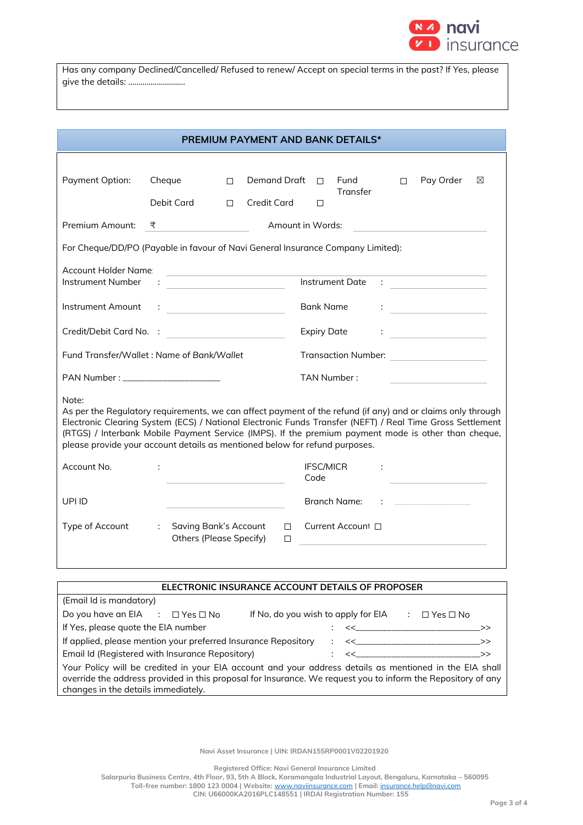

Has any company Declined/Cancelled/ Refused to renew/ Accept on special terms in the past? If Yes, please give the details: ……………………….

| <b>PREMIUM PAYMENT AND BANK DETAILS*</b>                                                                                                                                                                                                                                                                                                                                                                                |                           |                                                                                                                                                                                                                                                                                                                                                                     |        |                    |  |                            |                        |   |    |                                                                                                                                                                                                                                                                                                                                                                                             |   |
|-------------------------------------------------------------------------------------------------------------------------------------------------------------------------------------------------------------------------------------------------------------------------------------------------------------------------------------------------------------------------------------------------------------------------|---------------------------|---------------------------------------------------------------------------------------------------------------------------------------------------------------------------------------------------------------------------------------------------------------------------------------------------------------------------------------------------------------------|--------|--------------------|--|----------------------------|------------------------|---|----|---------------------------------------------------------------------------------------------------------------------------------------------------------------------------------------------------------------------------------------------------------------------------------------------------------------------------------------------------------------------------------------------|---|
|                                                                                                                                                                                                                                                                                                                                                                                                                         |                           |                                                                                                                                                                                                                                                                                                                                                                     |        |                    |  |                            |                        |   |    |                                                                                                                                                                                                                                                                                                                                                                                             |   |
| Payment Option:                                                                                                                                                                                                                                                                                                                                                                                                         |                           | Cheque<br>П                                                                                                                                                                                                                                                                                                                                                         |        | Demand Draft       |  | Fund<br>$\Box$<br>Transfer |                        |   | П. | Pay Order                                                                                                                                                                                                                                                                                                                                                                                   | ⊠ |
|                                                                                                                                                                                                                                                                                                                                                                                                                         |                           | Debit Card                                                                                                                                                                                                                                                                                                                                                          | $\Box$ | <b>Credit Card</b> |  | □                          |                        |   |    |                                                                                                                                                                                                                                                                                                                                                                                             |   |
| Premium Amount:                                                                                                                                                                                                                                                                                                                                                                                                         | ₹                         |                                                                                                                                                                                                                                                                                                                                                                     |        |                    |  | Amount in Words:           |                        |   |    |                                                                                                                                                                                                                                                                                                                                                                                             |   |
| For Cheque/DD/PO (Payable in favour of Navi General Insurance Company Limited):                                                                                                                                                                                                                                                                                                                                         |                           |                                                                                                                                                                                                                                                                                                                                                                     |        |                    |  |                            |                        |   |    |                                                                                                                                                                                                                                                                                                                                                                                             |   |
| <b>Account Holder Name:</b>                                                                                                                                                                                                                                                                                                                                                                                             |                           |                                                                                                                                                                                                                                                                                                                                                                     |        |                    |  |                            |                        |   |    |                                                                                                                                                                                                                                                                                                                                                                                             |   |
| <b>Instrument Number</b>                                                                                                                                                                                                                                                                                                                                                                                                |                           | <u> 1990 - Johann Barn, amerikansk politiker (</u>                                                                                                                                                                                                                                                                                                                  |        |                    |  |                            | <b>Instrument Date</b> |   |    | $\begin{picture}(20,20) \put(0,0){\dashbox{0.5}(5,0){ }} \put(15,0){\circle{10}} \put(15,0){\circle{10}} \put(15,0){\circle{10}} \put(15,0){\circle{10}} \put(15,0){\circle{10}} \put(15,0){\circle{10}} \put(15,0){\circle{10}} \put(15,0){\circle{10}} \put(15,0){\circle{10}} \put(15,0){\circle{10}} \put(15,0){\circle{10}} \put(15,0){\circle{10}} \put(15,0){\circle{10}} \put(15,0$ |   |
| Instrument Amount                                                                                                                                                                                                                                                                                                                                                                                                       |                           | $\begin{minipage}{.4\linewidth} \begin{tabular}{l} \bf 1 & 0 & 0 \\ \bf 2 & 0 & 0 \\ \bf 3 & 0 & 0 \\ \bf 4 & 0 & 0 \\ \bf 5 & 0 & 0 \\ \bf 6 & 0 & 0 \\ \bf 7 & 0 & 0 \\ \bf 8 & 0 & 0 \\ \bf 9 & 0 & 0 \\ \bf 10 & 0 & 0 \\ \bf 11 & 0 & 0 \\ \bf 12 & 0 & 0 \\ \bf 13 & 0 & 0 \\ \bf 14 & 0 & 0 \\ \bf 15 & 0 & 0 \\ \bf 16 & 0 & 0 \\ \bf 17 & 0 & 0 \\ \bf 18$ |        |                    |  | <b>Bank Name</b>           |                        | ÷ |    |                                                                                                                                                                                                                                                                                                                                                                                             |   |
| Credit/Debit Card No. :                                                                                                                                                                                                                                                                                                                                                                                                 |                           |                                                                                                                                                                                                                                                                                                                                                                     |        |                    |  | <b>Expiry Date</b>         |                        | ÷ |    | <u> 1990 - Johann Barbara, martin a</u>                                                                                                                                                                                                                                                                                                                                                     |   |
| Fund Transfer/Wallet: Name of Bank/Wallet<br>Transaction Number: <u>__________________</u>                                                                                                                                                                                                                                                                                                                              |                           |                                                                                                                                                                                                                                                                                                                                                                     |        |                    |  |                            |                        |   |    |                                                                                                                                                                                                                                                                                                                                                                                             |   |
| PAN Number : ________________________<br>TAN Number:                                                                                                                                                                                                                                                                                                                                                                    |                           |                                                                                                                                                                                                                                                                                                                                                                     |        |                    |  |                            |                        |   |    |                                                                                                                                                                                                                                                                                                                                                                                             |   |
| Note:<br>As per the Regulatory requirements, we can affect payment of the refund (if any) and or claims only through<br>Electronic Clearing System (ECS) / National Electronic Funds Transfer (NEFT) / Real Time Gross Settlement<br>(RTGS) / Interbank Mobile Payment Service (IMPS). If the premium payment mode is other than cheque,<br>please provide your account details as mentioned below for refund purposes. |                           |                                                                                                                                                                                                                                                                                                                                                                     |        |                    |  |                            |                        |   |    |                                                                                                                                                                                                                                                                                                                                                                                             |   |
| Account No.                                                                                                                                                                                                                                                                                                                                                                                                             | ÷                         |                                                                                                                                                                                                                                                                                                                                                                     |        |                    |  | <b>IFSC/MICR</b><br>Code   |                        | ÷ |    |                                                                                                                                                                                                                                                                                                                                                                                             |   |
| UPI ID                                                                                                                                                                                                                                                                                                                                                                                                                  |                           |                                                                                                                                                                                                                                                                                                                                                                     |        |                    |  | <b>Branch Name:</b>        |                        |   |    |                                                                                                                                                                                                                                                                                                                                                                                             |   |
| Type of Account                                                                                                                                                                                                                                                                                                                                                                                                         | $\mathbb{R}^{\mathbb{Z}}$ | <b>Saving Bank's Account</b><br><b>Others (Please Specify)</b>                                                                                                                                                                                                                                                                                                      |        | П.<br>$\Box$       |  |                            | Current Account □      |   |    |                                                                                                                                                                                                                                                                                                                                                                                             |   |
|                                                                                                                                                                                                                                                                                                                                                                                                                         |                           |                                                                                                                                                                                                                                                                                                                                                                     |        |                    |  |                            |                        |   |    |                                                                                                                                                                                                                                                                                                                                                                                             |   |

| ELECTRONIC INSURANCE ACCOUNT DETAILS OF PROPOSER                                                                                                                                                                                                               |                                     |                      |  |  |  |
|----------------------------------------------------------------------------------------------------------------------------------------------------------------------------------------------------------------------------------------------------------------|-------------------------------------|----------------------|--|--|--|
| (Email Id is mandatory)                                                                                                                                                                                                                                        |                                     |                      |  |  |  |
| Do you have an EIA : $\Box$ Yes $\Box$ No                                                                                                                                                                                                                      | If No, do you wish to apply for EIA | $\Box$ Yes $\Box$ No |  |  |  |
| If Yes, please quote the EIA number<br>くく こうしょう しょうしょう                                                                                                                                                                                                         |                                     |                      |  |  |  |
| If applied, please mention your preferred Insurance Repository<br>: < <u>&lt;_____________________</u> ___>>                                                                                                                                                   |                                     |                      |  |  |  |
| Email Id (Registered with Insurance Repository)<br>くく ショー・ショー・ショー シン                                                                                                                                                                                           |                                     |                      |  |  |  |
| Your Policy will be credited in your EIA account and your address details as mentioned in the EIA shall<br>override the address provided in this proposal for Insurance. We request you to inform the Repository of any<br>changes in the details immediately. |                                     |                      |  |  |  |

**Navi Asset Insurance | UIN: IRDAN155RP0001V02201920**

**Registered Office: Navi General Insurance Limited**

**Salarpuria Business Centre, 4th Floor, 93, 5th A Block, Koramangala Industrial Layout, Bengaluru, Karnataka – 560095 Toll-free number: 1800 123 0004 | Website:** [www.naviinsurance.com](http://www.naviinsurance.com/) **| Email:** [insurance.help@navi.com](mailto:insurance.help@navi.com)

**CIN: U66000KA2016PLC148551 | IRDAI Registration Number: 155**